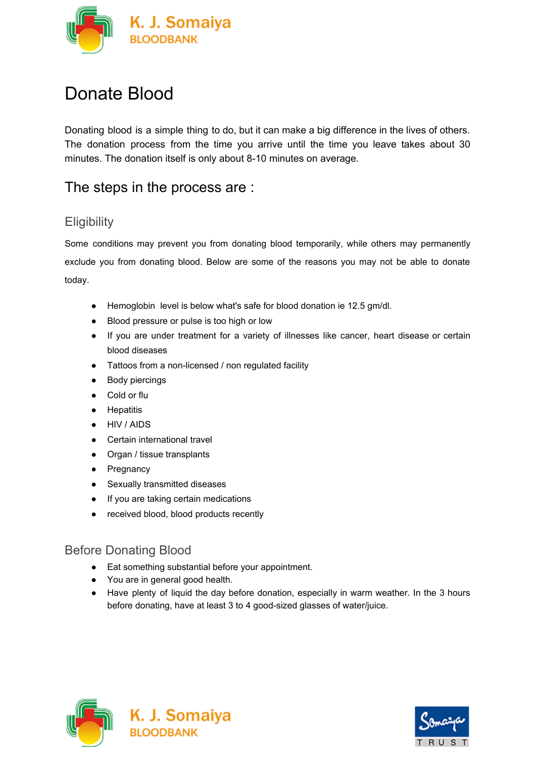

# Donate Blood

Donating blood is a simple thing to do, but it can make a big difference in the lives of others. The donation process from the time you arrive until the time you leave takes about 30 minutes. The donation itself is only about 8-10 minutes on average.

# The steps in the process are :

## **Eligibility**

Some conditions may prevent you from donating blood temporarily, while others may permanently exclude you from donating blood. Below are some of the reasons you may not be able to donate today.

- Hemoglobin level is below what's safe for blood donation ie 12.5 gm/dl.
- Blood pressure or pulse is too high or low
- If you are under treatment for a variety of illnesses like cancer, heart disease or certain blood diseases
- Tattoos from a non-licensed / non regulated facility
- Body piercings
- Cold or flu
- Hepatitis
- HIV / AIDS
- Certain international travel
- Organ / tissue transplants
- Pregnancy
- Sexually transmitted diseases
- If you are taking certain medications
- received blood, blood products recently

#### Before Donating Blood

- Eat something substantial before your appointment.
- You are in general good health.
- Have plenty of liquid the day before donation, especially in warm weather. In the 3 hours before donating, have at least 3 to 4 good-sized glasses of water/juice.



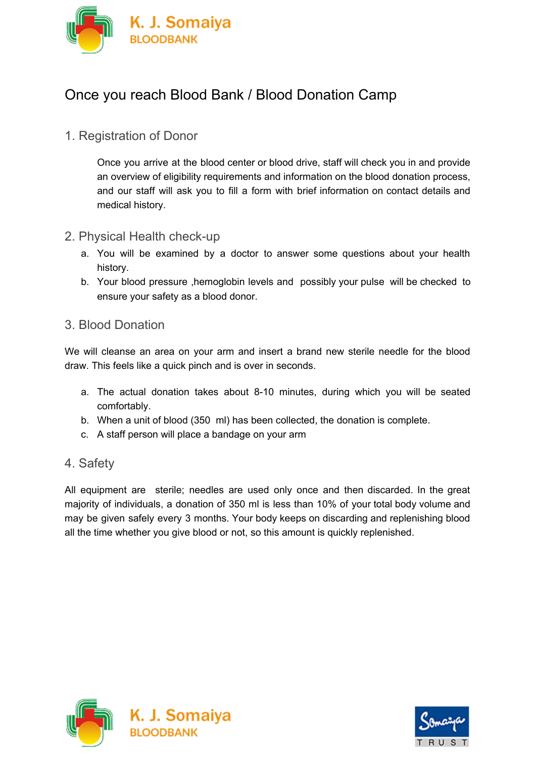

# Once you reach Blood Bank / Blood Donation Camp

### 1. Registration of Donor

Once you arrive at the blood center or blood drive, staff will check you in and provide an overview of eligibility requirements and information on the blood donation process, and our staff will ask you to fill a form with brief information on contact details and medical history.

#### 2. Physical Health check-up

- a. You will be examined by a doctor to answer some questions about your health history.
- b. Your blood pressure ,hemoglobin levels and possibly your pulse will be checked to ensure your safety as a blood donor.

#### 3. Blood Donation

We will cleanse an area on your arm and insert a brand new sterile needle for the blood draw. This feels like a quick pinch and is over in seconds.

- a. The actual donation takes about 8-10 minutes, during which you will be seated comfortably.
- b. When a unit of blood (350 ml) has been collected, the donation is complete.
- c. A staff person will place a bandage on your arm

#### 4. Safety

All equipment are sterile; needles are used only once and then discarded. In the great majority of individuals, a donation of 350 ml is less than 10% of your total body volume and may be given safely every 3 months. Your body keeps on discarding and replenishing blood all the time whether you give blood or not, so this amount is quickly replenished.